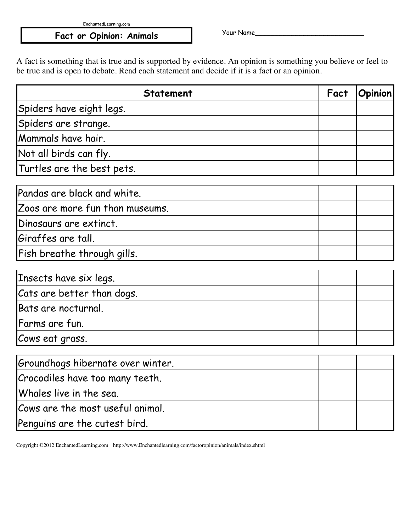EnchantedLearning.com

## Fact or Opinion: Animals Fact or Opinion: Animals

A fact is something that is true and is supported by evidence. An opinion is something you believe or feel to be true and is open to debate. Read each statement and decide if it is a fact or an opinion.

| <b>Statement</b>                  | Fact | <b>Opinion</b> |
|-----------------------------------|------|----------------|
| Spiders have eight legs.          |      |                |
| Spiders are strange.              |      |                |
| Mammals have hair.                |      |                |
| Not all birds can fly.            |      |                |
| Turtles are the best pets.        |      |                |
| Pandas are black and white.       |      |                |
| Zoos are more fun than museums.   |      |                |
| Dinosaurs are extinct.            |      |                |
| Giraffes are tall.                |      |                |
| Fish breathe through gills.       |      |                |
| Insects have six legs.            |      |                |
| Cats are better than dogs.        |      |                |
| Bats are nocturnal.               |      |                |
| Farms are fun.                    |      |                |
| Cows eat grass.                   |      |                |
| Groundhogs hibernate over winter. |      |                |
| Crocodiles have too many teeth.   |      |                |
| Whales live in the sea.           |      |                |
| Cows are the most useful animal.  |      |                |
| Penguins are the cutest bird.     |      |                |

Copyright ©2012 EnchantedLearning.com http://www.Enchantedlearning.com/factoropinion/animals/index.shtml